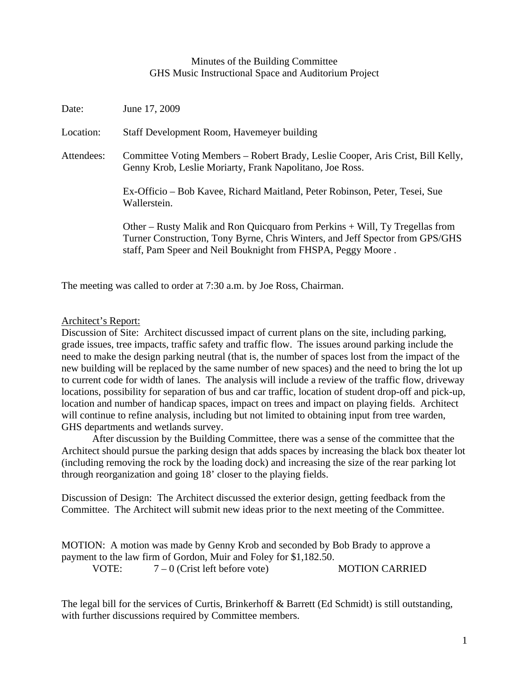## Minutes of the Building Committee GHS Music Instructional Space and Auditorium Project

| Date:      | June 17, 2009                                                                                                                                                                                                                   |
|------------|---------------------------------------------------------------------------------------------------------------------------------------------------------------------------------------------------------------------------------|
| Location:  | Staff Development Room, Havemeyer building                                                                                                                                                                                      |
| Attendees: | Committee Voting Members – Robert Brady, Leslie Cooper, Aris Crist, Bill Kelly,<br>Genny Krob, Leslie Moriarty, Frank Napolitano, Joe Ross.                                                                                     |
|            | Ex-Officio – Bob Kavee, Richard Maitland, Peter Robinson, Peter, Tesei, Sue<br>Wallerstein.                                                                                                                                     |
|            | Other – Rusty Malik and Ron Quicquaro from Perkins $+$ Will, Ty Tregellas from<br>Turner Construction, Tony Byrne, Chris Winters, and Jeff Spector from GPS/GHS<br>staff, Pam Speer and Neil Bouknight from FHSPA, Peggy Moore. |

The meeting was called to order at 7:30 a.m. by Joe Ross, Chairman.

## Architect's Report:

Discussion of Site: Architect discussed impact of current plans on the site, including parking, grade issues, tree impacts, traffic safety and traffic flow. The issues around parking include the need to make the design parking neutral (that is, the number of spaces lost from the impact of the new building will be replaced by the same number of new spaces) and the need to bring the lot up to current code for width of lanes. The analysis will include a review of the traffic flow, driveway locations, possibility for separation of bus and car traffic, location of student drop-off and pick-up, location and number of handicap spaces, impact on trees and impact on playing fields. Architect will continue to refine analysis, including but not limited to obtaining input from tree warden, GHS departments and wetlands survey.

 After discussion by the Building Committee, there was a sense of the committee that the Architect should pursue the parking design that adds spaces by increasing the black box theater lot (including removing the rock by the loading dock) and increasing the size of the rear parking lot through reorganization and going 18' closer to the playing fields.

Discussion of Design: The Architect discussed the exterior design, getting feedback from the Committee. The Architect will submit new ideas prior to the next meeting of the Committee.

MOTION: A motion was made by Genny Krob and seconded by Bob Brady to approve a payment to the law firm of Gordon, Muir and Foley for \$1,182.50. VOTE:  $7-0$  (Crist left before vote) MOTION CARRIED

The legal bill for the services of Curtis, Brinkerhoff & Barrett (Ed Schmidt) is still outstanding, with further discussions required by Committee members.